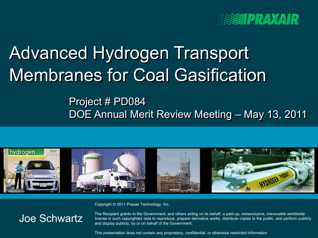

# Advanced Hydrogen Transport Membranes for Coal Gasification

## Project # PD084 DOE Annual Merit Review Meeting – May 13, 2011



Copyright © 2011 Praxair Technology, Inc.

#### Joe Schwartz

The Recipient grants to the Government, and others acting on its behalf, a paid-up, nonexclusive, irrevocable worldwide license in such copyrighted data to reproduce, prepare derivative works, distribute copies to the public, and perform publicly and display publicly, by or on behalf of the Government.

This presentation does not contain any proprietary, confidential, or otherwise restricted information **1** This presentation does not contain any proprietary, confidential, or otherwise restricted information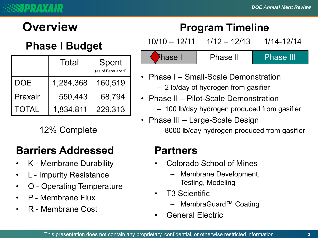## **Phase I Budget**

|              | Total     | Spent<br>(as of February 1) |
|--------------|-----------|-----------------------------|
| DOE          | 1,284,368 | 160,519                     |
| Praxair      | 550,443   | 68,794                      |
| <b>TOTAL</b> | 1,834,811 | 229,313                     |

## **Barriers Addressed**

- K Membrane Durability
- L Impurity Resistance
- O Operating Temperature
- P Membrane Flux
- R Membrane Cost

## **Overview Program Timeline**

10/10 – 12/11 1/12 – 12/13 1/14-12/14

Phase I Phase II Phase III

- Phase I Small-Scale Demonstration
	- 2 lb/day of hydrogen from gasifier
- Phase II Pilot-Scale Demonstration
	- 100 lb/day hydrogen produced from gasifier
- Phase III Large-Scale Design
- 12% Complete 8000 lb/day hydrogen produced from gasifier

#### **Partners**

- Colorado School of Mines
	- Membrane Development, Testing, Modeling
- T3 Scientific
	- MembraGuard™ Coating
- General Electric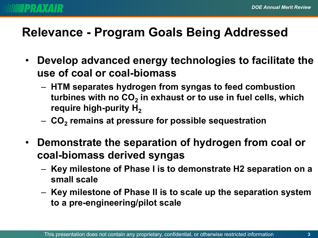

## **Relevance - Program Goals Being Addressed**

- **Develop advanced energy technologies to facilitate the use of coal or coal-biomass**
	- **HTM separates hydrogen from syngas to feed combustion**  turbines with no CO<sub>2</sub> in exhaust or to use in fuel cells, which **require high-purity H<sub>2</sub>**
	- $-$  CO<sub>2</sub> remains at pressure for possible sequestration
- **Demonstrate the separation of hydrogen from coal or coal-biomass derived syngas**
	- **Key milestone of Phase I is to demonstrate H2 separation on a small scale**
	- **Key milestone of Phase II is to scale up the separation system to a pre-engineering/pilot scale**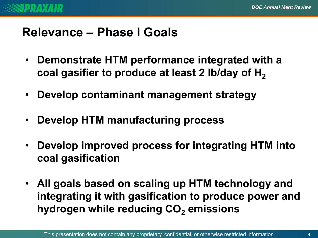## **Relevance – Phase I Goals**

- **Demonstrate HTM performance integrated with a**  coal gasifier to produce at least 2 lb/day of H<sub>2</sub>
- **Develop contaminant management strategy**
- **Develop HTM manufacturing process**
- **Develop improved process for integrating HTM into coal gasification**
- **All goals based on scaling up HTM technology and integrating it with gasification to produce power and hydrogen while reducing CO<sub>2</sub> emissions**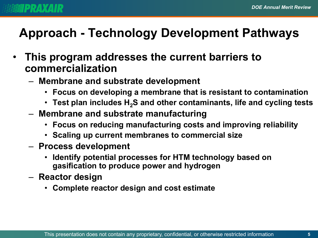

## **Approach - Technology Development Pathways**

- **This program addresses the current barriers to commercialization**
	- **Membrane and substrate development**
		- **Focus on developing a membrane that is resistant to contamination**
		- Test plan includes H<sub>2</sub>S and other contaminants, life and cycling tests
	- **Membrane and substrate manufacturing**
		- **Focus on reducing manufacturing costs and improving reliability**
		- **Scaling up current membranes to commercial size**
	- **Process development**
		- **Identify potential processes for HTM technology based on gasification to produce power and hydrogen**
	- **Reactor design**
		- **Complete reactor design and cost estimate**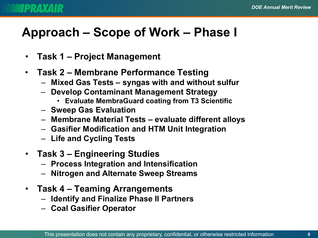## **Approach – Scope of Work – Phase I**

- **Task 1 – Project Management**
- **Task 2 – Membrane Performance Testing**
	- **Mixed Gas Tests – syngas with and without sulfur**
	- **Develop Contaminant Management Strategy**
		- **Evaluate MembraGuard coating from T3 Scientific**
	- **Sweep Gas Evaluation**
	- **Membrane Material Tests – evaluate different alloys**
	- **Gasifier Modification and HTM Unit Integration**
	- **Life and Cycling Tests**
- **Task 3 – Engineering Studies**
	- **Process Integration and Intensification**
	- **Nitrogen and Alternate Sweep Streams**
- **Task 4 – Teaming Arrangements**
	- **Identify and Finalize Phase II Partners**
	- **Coal Gasifier Operator**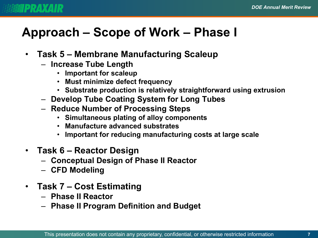## **Approach – Scope of Work – Phase I**

- **Task 5 – Membrane Manufacturing Scaleup**
	- **Increase Tube Length**
		- **Important for scaleup**
		- **Must minimize defect frequency**
		- **Substrate production is relatively straightforward using extrusion**
	- **Develop Tube Coating System for Long Tubes**
	- **Reduce Number of Processing Steps**
		- **Simultaneous plating of alloy components**
		- **Manufacture advanced substrates**
		- **Important for reducing manufacturing costs at large scale**
- **Task 6 – Reactor Design**
	- **Conceptual Design of Phase II Reactor**
	- **CFD Modeling**
- **Task 7 – Cost Estimating**
	- **Phase II Reactor**
	- **Phase II Program Definition and Budget**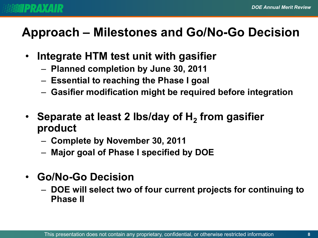## **Approach – Milestones and Go/No-Go Decision**

- **Integrate HTM test unit with gasifier** 
	- **Planned completion by June 30, 2011**
	- **Essential to reaching the Phase I goal**
	- **Gasifier modification might be required before integration**
- **Separate at least 2 lbs/day of H2 from gasifier product** 
	- **Complete by November 30, 2011**
	- **Major goal of Phase I specified by DOE**
- **Go/No-Go Decision**
	- **DOE will select two of four current projects for continuing to Phase II**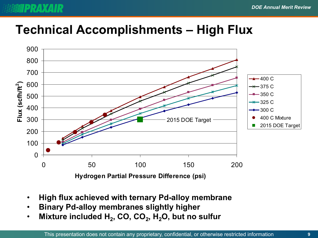## **Technical Accomplishments – High Flux**



- **High flux achieved with ternary Pd-alloy membrane**
- **Binary Pd-alloy membranes slightly higher**
- Mixture included H<sub>2</sub>, CO, CO<sub>2</sub>, H<sub>2</sub>O, but no sulfur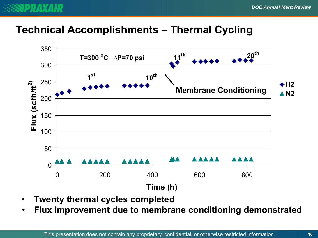

## **Technical Accomplishments – Thermal Cycling**



- **Twenty thermal cycles completed**
- **Flux improvement due to membrane conditioning demonstrated**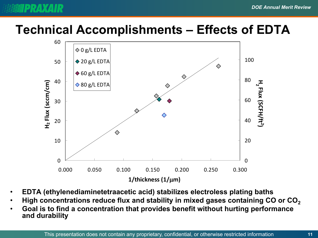## **Technical Accomplishments – Effects of EDTA**



- **EDTA (ethylenediaminetetraacetic acid) stabilizes electroless plating baths**
- **High concentrations reduce flux and stability in mixed gases containing CO or CO2**
- **Goal is to find a concentration that provides benefit without hurting performance and durability**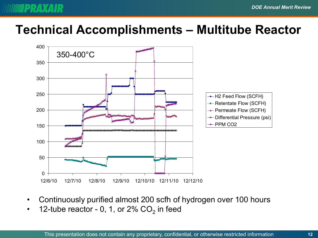## **Technical Accomplishments – Multitube Reactor**



- Continuously purified almost 200 scfh of hydrogen over 100 hours
- 12-tube reactor 0, 1, or  $2\%$  CO<sub>2</sub> in feed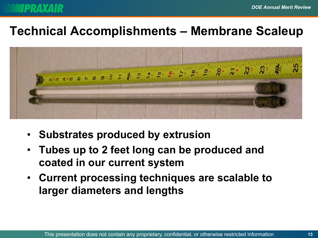

## **Technical Accomplishments – Membrane Scaleup**



- **Substrates produced by extrusion**
- **Tubes up to 2 feet long can be produced and coated in our current system**
- **Current processing techniques are scalable to larger diameters and lengths**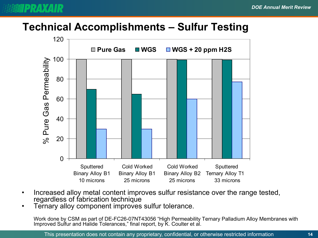## **Technical Accomplishments – Sulfur Testing**



- Increased alloy metal content improves sulfur resistance over the range tested,
- Ternary alloy component improves sulfur tolerance.

Work done by CSM as part of DE-FC26-07NT43056 "High Permeability Ternary Palladium Alloy Membranes with Improved Sulfur and Halide Tolerances," final report, by K. Coulter et al.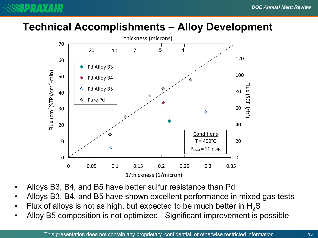#### **Technical Accomplishments – Alloy Development**

**PRAXAIR** 



- Alloys B3, B4, and B5 have better sulfur resistance than Pd
- Alloys B3, B4, and B5 have shown excellent performance in mixed gas tests
- Flux of alloys is not as high, but expected to be much better in  $H_2S$
- Alloy B5 composition is not optimized Significant improvement is possible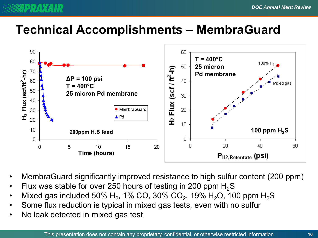## **Technical Accomplishments – MembraGuard**



- MembraGuard significantly improved resistance to high sulfur content (200 ppm)
- Flux was stable for over 250 hours of testing in 200 ppm  $H_2S$
- Mixed gas included 50% H<sub>2</sub>, 1% CO, 30% CO<sub>2</sub>, 19% H<sub>2</sub>O, 100 ppm H<sub>2</sub>S
- Some flux reduction is typical in mixed gas tests, even with no sulfur
- No leak detected in mixed gas test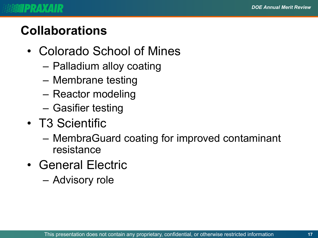## **Collaborations**

- Colorado School of Mines
	- Palladium alloy coating
	- Membrane testing
	- Reactor modeling
	- Gasifier testing
- T3 Scientific
	- MembraGuard coating for improved contaminant resistance
- General Electric
	- Advisory role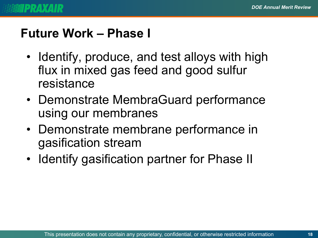## **Future Work – Phase I**

- Identify, produce, and test alloys with high flux in mixed gas feed and good sulfur resistance
- Demonstrate MembraGuard performance using our membranes
- Demonstrate membrane performance in gasification stream
- Identify gasification partner for Phase II